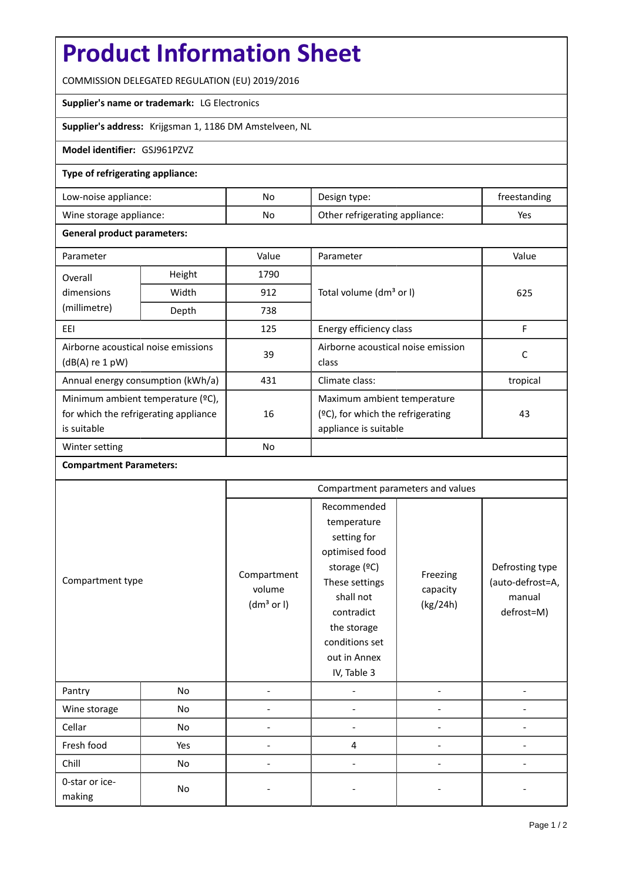# **Product Information Sheet**

COMMISSION DELEGATED REGULATION (EU) 2019/2016

## **Supplier's name or trademark:** LG Electronics

**Supplier's address:** Krijgsman 1, 1186 DM Amstelveen, NL

#### **Model identifier:** GSJ961PZVZ

#### **Type of refrigerating appliance:**

| Low-noise appliance:    | No | Design type:                   | freestanding |
|-------------------------|----|--------------------------------|--------------|
| Wine storage appliance: | No | Other refrigerating appliance: | Yes          |

#### **General product parameters:**

| Parameter                             |        | Value     | Parameter                            | Value    |  |
|---------------------------------------|--------|-----------|--------------------------------------|----------|--|
| Overall                               | Height | 1790      |                                      |          |  |
| dimensions                            | Width  | 912       | Total volume (dm <sup>3</sup> or I)  | 625      |  |
| (millimetre)                          | Depth  | 738       |                                      |          |  |
| EEI                                   |        | 125       | Energy efficiency class              | F        |  |
| Airborne acoustical noise emissions   |        | 39        | Airborne acoustical noise emission   | C        |  |
| $(dB(A)$ re 1 pW)                     |        |           | class                                |          |  |
| Annual energy consumption (kWh/a)     |        | 431       | Climate class:                       | tropical |  |
| Minimum ambient temperature (°C),     |        |           | Maximum ambient temperature          |          |  |
| for which the refrigerating appliance |        | 16        | $(2C)$ , for which the refrigerating | 43       |  |
| is suitable                           |        |           | appliance is suitable                |          |  |
| Winter setting                        |        | <b>No</b> |                                      |          |  |

### **Compartment Parameters:**

|                          |     | Compartment parameters and values               |                                                                                                                                                                                          |                                  |                                                             |
|--------------------------|-----|-------------------------------------------------|------------------------------------------------------------------------------------------------------------------------------------------------------------------------------------------|----------------------------------|-------------------------------------------------------------|
| Compartment type         |     | Compartment<br>volume<br>(dm <sup>3</sup> or I) | Recommended<br>temperature<br>setting for<br>optimised food<br>storage (°C)<br>These settings<br>shall not<br>contradict<br>the storage<br>conditions set<br>out in Annex<br>IV, Table 3 | Freezing<br>capacity<br>(kg/24h) | Defrosting type<br>(auto-defrost=A,<br>manual<br>defrost=M) |
| Pantry                   | No  |                                                 |                                                                                                                                                                                          |                                  |                                                             |
| Wine storage             | No  |                                                 |                                                                                                                                                                                          |                                  |                                                             |
| Cellar                   | No  |                                                 |                                                                                                                                                                                          |                                  |                                                             |
| Fresh food               | Yes |                                                 | 4                                                                                                                                                                                        |                                  |                                                             |
| Chill                    | No  |                                                 |                                                                                                                                                                                          |                                  |                                                             |
| 0-star or ice-<br>making | No  |                                                 |                                                                                                                                                                                          |                                  |                                                             |